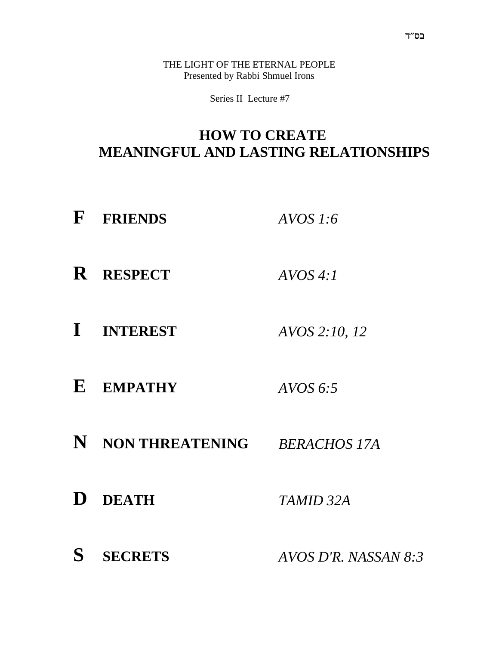THE LIGHT OF THE ETERNAL PEOPLE Presented by Rabbi Shmuel Irons

Series II Lecture #7

#### **HOW TO CREATE MEANINGFUL AND LASTING RELATIONSHIPS**

- **F FRIENDS** *AVOS 1:6*
- **R RESPECT** *AVOS 4:1*
- **I INTEREST** *AVOS 2:10, 12*
- **E EMPATHY** *AVOS 6:5*
- **N NON THREATENING** *BERACHOS 17A*
- **D DEATH** *TAMID 32A*
- **S SECRETS** *AVOS D'R. NASSAN 8:3*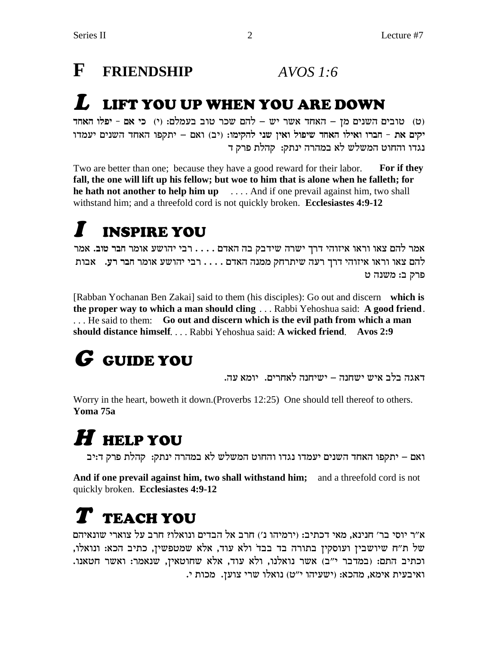### **F FRIENDSHIP** *AVOS 1:6*

#### **L LIFT YOU UP WHEN YOU ARE DOWN**

c) טובים השנים מן – האחד אשר יש – להם שכר טוב בעמלם: (י) כי אם - יפלו האחד יקים את - חברו ואילו האחד שיפול ואין שני להקימו: (יב) ואם – יתקפו האחד השנים יעמדו נגדו והחוט המשלש לא במהרה ינתק: קהלת פרק ד

Two are better than one; because they have a good reward for their labor. **For if they fall, the one will lift up his fellow; but woe to him that is alone when he falleth; for he hath not another to help him up** . . . . And if one prevail against him, two shall withstand him; and a threefold cord is not quickly broken. **Ecclesiastes 4:9-12**

## **I INSPIRE YOU**

אמר להם צאו וראו איזוהי דרך ישרה שידבק בה האדם . . . . רבי יהושע אומר חבר טוב. אמר להם צאו וראו איזוהי דרך רעה שיתרחק ממנה האדם . . . . רבי יהושע אומר ח**בר רע.** אבות  $d$ פרק ב: משנה ט

[Rabban Yochanan Ben Zakai] said to them (his disciples): Go out and discern **which is the proper way to which a man should cling** . . . Rabbi Yehoshua said: **A good friend**. . . . He said to them: **Go out and discern which is the evil path from which a man should distance himself**. . . . Rabbi Yehoshua said: **A wicked friend**. **Avos 2:9**

# **G GUIDE YOU**

. דאגה בלב איש ישחנה – ישיחנה לאחרים.  $\,$ יומא עה

Worry in the heart, boweth it down.(Proverbs 12:25) One should tell thereof to others. **Yoma 75a**

# **H HELP YOU**

ואם – יתקפו האחד השנים יעמדו נגדו והחוט המשלש לא במהרה ינתק: קהלת פרק ד:יב

**And if one prevail against him, two shall withstand him;** and a threefold cord is not quickly broken. **Ecclesiastes 4:9-12**

## **T TEACH YOU**

א״ר יוסי בר׳ חנינא, מאי דכתיב: (ירמיהו נ׳) חרב אל הבדים ונואלו? חרב על צוארי שונאיהם של ת"ח שיושבין ועוסקין בתורה בד בבד ולא עוד, אלא שמטפשין, כתיב הכא: ונואלו, וכתיב התם: (במדבר י"ב) אשר נואלנו, ולא עוד, אלא שחוטאין, שנאמר: ואשר חטאנו. ... ואיבעית אימא, מהכא: (ישעיהו י"ט) נואלו שרי צוען. מכות י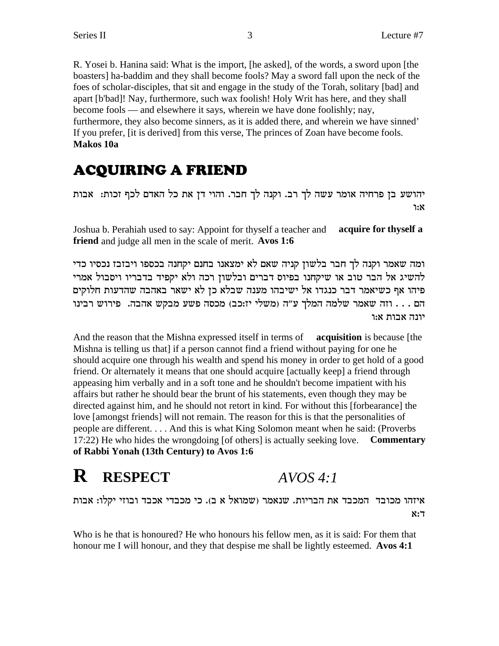R. Yosei b. Hanina said: What is the import, [he asked], of the words, a sword upon [the boasters] ha-baddim and they shall become fools? May a sword fall upon the neck of the foes of scholar-disciples, that sit and engage in the study of the Torah, solitary [bad] and apart [b'bad]! Nay, furthermore, such wax foolish! Holy Writ has here, and they shall become fools — and elsewhere it says, wherein we have done foolishly; nay, furthermore, they also become sinners, as it is added there, and wherein we have sinned' If you prefer, [it is derived] from this verse, The princes of Zoan have become fools. **Makos 10a**

#### **ACQUIRING A FRIEND**

יהושע בן פרחיה אומר עשה לך רב. וקנה לך חבר. והוי דן את כל האדם לכף זכות: אבות <u>ነ:</u>X

Joshua b. Perahiah used to say: Appoint for thyself a teacher and **acquire for thyself a friend** and judge all men in the scale of merit. **Avos 1:6**

ומה שאמר וקנה לך חבר בלשון קניה שאם לא ימצאנו בחנם יקחנה בכספו ויבזבז נכסיו כדי להשיג אל הבר טוב או שיקחנו בפיוס דברים ובלשון רכה ולא יקפיד בדבריו ויסבול אמרי פיהו אף כשיאמר דבר כנגדו אל ישיבהו מענה שבלא כן לא ישאר באהבה שהדעות חלוקים הם . . . וזה שאמר שלמה המלך ע"ה (משלי יז:כב) מכסה פשע מבקש אהבה. פירוש רבינו יונה אבות א:ו

And the reason that the Mishna expressed itself in terms of **acquisition** is because [the Mishna is telling us that] if a person cannot find a friend without paying for one he should acquire one through his wealth and spend his money in order to get hold of a good friend. Or alternately it means that one should acquire [actually keep] a friend through appeasing him verbally and in a soft tone and he shouldn't become impatient with his affairs but rather he should bear the brunt of his statements, even though they may be directed against him, and he should not retort in kind. For without this [forbearance] the love [amongst friends] will not remain. The reason for this is that the personalities of people are different. . . . And this is what King Solomon meant when he said: (Proverbs 17:22) He who hides the wrongdoing [of others] is actually seeking love. **Commentary of Rabbi Yonah (13th Century) to Avos 1:6**

#### **R RESPECT** *AVOS 4:1*

איזהו מכובד המכבד את הבריות. שנאמר (שמואל א ב). כי מכבדי אכבד ובוזי יקלו: אבות  $x:7$ 

Who is he that is honoured? He who honours his fellow men, as it is said: For them that honour me I will honour, and they that despise me shall be lightly esteemed. **Avos 4:1**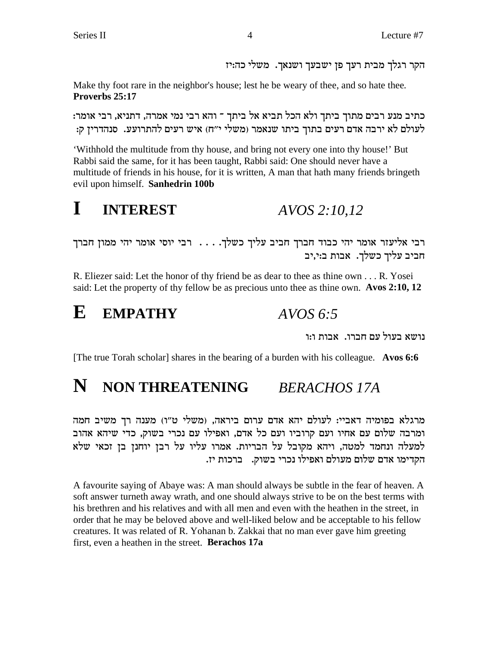הקר רגלך מבית רעך פן ישבעך ושנאך. משלי כה:יז

Make thy foot rare in the neighbor's house; lest he be weary of thee, and so hate thee. Proverbs 25:17

כתיב מנע רבים מתוך ביתך ולא הכל תביא אל ביתך ־ והא רבי נמי אמרה, דתניא, רבי אומר: לעולם לא ירבה אדם רעים בתוך ביתו שנאמר (משלי י"ח) איש רעים להתרועע. סנהדרין ק:

'Withhold the multitude from thy house, and bring not every one into thy house!' But Rabbi said the same, for it has been taught, Rabbi said: One should never have a multitude of friends in his house, for it is written, A man that hath many friends bringeth evil upon himself. Sanhedrin 100b

 $\mathbf I$ **INTEREST** AVOS 2:10.12

רבי אליעזר אומר יהי כבוד חברך חביב עליך כשלך. . . . רבי יוסי אומר יהי ממון חברך חביב עליך כשלך. אבות ב:י,יב

R. Eliezer said: Let the honor of thy friend be as dear to thee as thine own . . . R. Yosei said: Let the property of thy fellow be as precious unto thee as thine own. Avos 2:10, 12

E **EMPATHY**  $AVOS 6.5$ 

נושא בעול עם חברו. אבות ו:ו

[The true Torah scholar] shares in the bearing of a burden with his colleague. Avos 6:6

#### N NON THREATENING **BERACHOS 17A**

מרגלא בפומיה דאביי: לעולם יהא אדם ערום ביראה, (משלי ט"ו) מענה רך משיב חמה ומרבה שלום עם אחיו ועם קרוביו ועם כל אדם, ואפילו עם נכרי בשוק, כדי שיהא אהוב למעלה ונחמד למטה, ויהא מקובל על הבריות. אמרו עליו על רבן יוחנן בן זכאי שלא הקדימו אדם שלום מעולם ואפילו נכרי בשוק. ברכות יז.

A favourite saying of Abaye was: A man should always be subtle in the fear of heaven. A soft answer turneth away wrath, and one should always strive to be on the best terms with his brethren and his relatives and with all men and even with the heathen in the street, in order that he may be beloved above and well-liked below and be acceptable to his fellow creatures. It was related of R. Yohanan b. Zakkai that no man ever gave him greeting first, even a heathen in the street. Berachos 17a